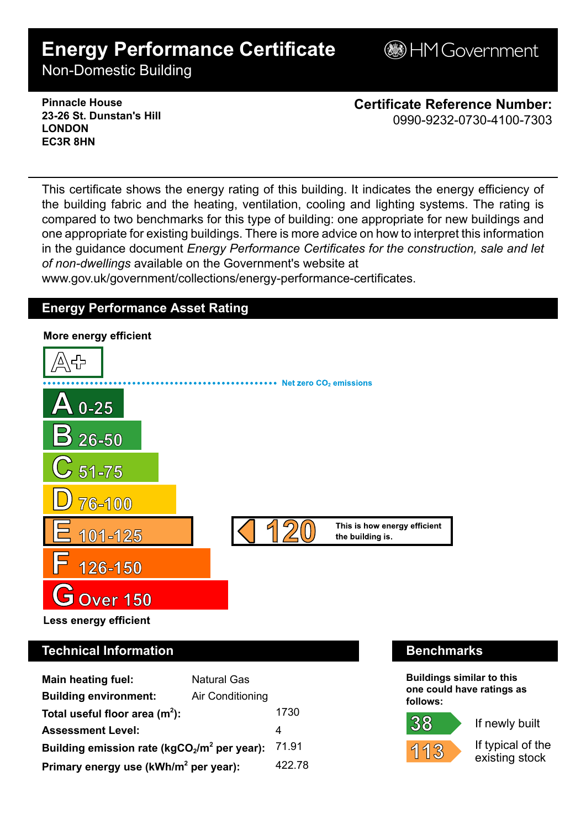# **Energy Performance Certificate**

**BHM Government** 

Non-Domestic Building

**Pinnacle House 23-26 St. Dunstan's Hill LONDON EC3R 8HN**

**Certificate Reference Number:** 0990-9232-0730-4100-7303

This certificate shows the energy rating of this building. It indicates the energy efficiency of the building fabric and the heating, ventilation, cooling and lighting systems. The rating is compared to two benchmarks for this type of building: one appropriate for new buildings and one appropriate for existing buildings. There is more advice on how to interpret this information in the guidance document *Energy Performance Certificates for the construction, sale and let of non-dwellings* available on the Government's website at

www.gov.uk/government/collections/energy-performance-certificates.

# **Energy Performance Asset Rating**



Less energy efficient

# **Technical Information Benchmarks**

| <b>Main heating fuel:</b>                         | <b>Natural Gas</b> |        |
|---------------------------------------------------|--------------------|--------|
| <b>Building environment:</b>                      | Air Conditioning   |        |
| Total useful floor area $(m2)$ :                  |                    | 1730   |
| <b>Assessment Level:</b>                          |                    | 4      |
| Building emission rate ( $kgCO2/m2$ per year):    |                    | 71.91  |
| Primary energy use (kWh/m <sup>2</sup> per year): |                    | 422.78 |

**Buildings similar to this one could have ratings as follows:**



38

If newly built

If typical of the existing stock